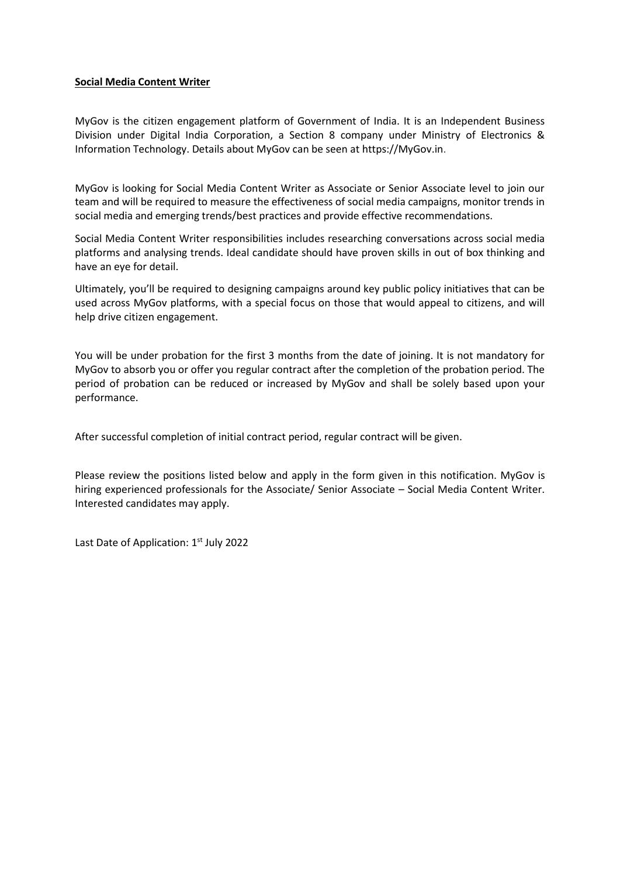## **Social Media Content Writer**

MyGov is the citizen engagement platform of Government of India. It is an Independent Business Division under Digital India Corporation, a Section 8 company under Ministry of Electronics & Information Technology. Details about MyGov can be seen at https://MyGov.in.

MyGov is looking for Social Media Content Writer as Associate or Senior Associate level to join our team and will be required to measure the effectiveness of social media campaigns, monitor trends in social media and emerging trends/best practices and provide effective recommendations.

Social Media Content Writer responsibilities includes researching conversations across social media platforms and analysing trends. Ideal candidate should have proven skills in out of box thinking and have an eye for detail.

Ultimately, you'll be required to designing campaigns around key public policy initiatives that can be used across MyGov platforms, with a special focus on those that would appeal to citizens, and will help drive citizen engagement.

You will be under probation for the first 3 months from the date of joining. It is not mandatory for MyGov to absorb you or offer you regular contract after the completion of the probation period. The period of probation can be reduced or increased by MyGov and shall be solely based upon your performance.

After successful completion of initial contract period, regular contract will be given.

Please review the positions listed below and apply in the form given in this notification. MyGov is hiring experienced professionals for the Associate/ Senior Associate – Social Media Content Writer. Interested candidates may apply.

Last Date of Application: 1<sup>st</sup> July 2022